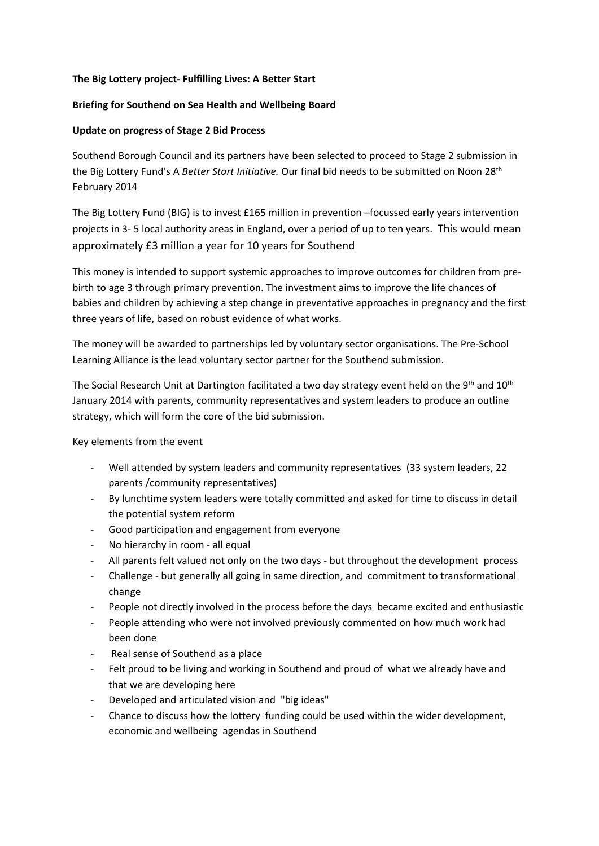## **The Big Lottery project- Fulfilling Lives: A Better Start**

## **Briefing for Southend on Sea Health and Wellbeing Board**

## **Update on progress of Stage 2 Bid Process**

Southend Borough Council and its partners have been selected to proceed to Stage 2 submission in the Big Lottery Fund's A *Better Start Initiative.* Our final bid needs to be submitted on Noon 28th February 2014

The Big Lottery Fund (BIG) is to invest £165 million in prevention –focussed early years intervention projects in 3- 5 local authority areas in England, over a period of up to ten years. This would mean approximately £3 million a year for 10 years for Southend

This money is intended to support systemic approaches to improve outcomes for children from prebirth to age 3 through primary prevention. The investment aims to improve the life chances of babies and children by achieving a step change in preventative approaches in pregnancy and the first three years of life, based on robust evidence of what works.

The money will be awarded to partnerships led by voluntary sector organisations. The Pre-School Learning Alliance is the lead voluntary sector partner for the Southend submission.

The Social Research Unit at Dartington facilitated a two day strategy event held on the 9<sup>th</sup> and 10<sup>th</sup> January 2014 with parents, community representatives and system leaders to produce an outline strategy, which will form the core of the bid submission.

Key elements from the event

- Well attended by system leaders and community representatives (33 system leaders, 22 parents /community representatives)
- By lunchtime system leaders were totally committed and asked for time to discuss in detail the potential system reform
- Good participation and engagement from everyone
- No hierarchy in room all equal
- All parents felt valued not only on the two days but throughout the development process
- Challenge but generally all going in same direction, and commitment to transformational change
- People not directly involved in the process before the days became excited and enthusiastic
- People attending who were not involved previously commented on how much work had been done
- Real sense of Southend as a place
- Felt proud to be living and working in Southend and proud of what we already have and that we are developing here
- Developed and articulated vision and "big ideas"
- Chance to discuss how the lottery funding could be used within the wider development, economic and wellbeing agendas in Southend